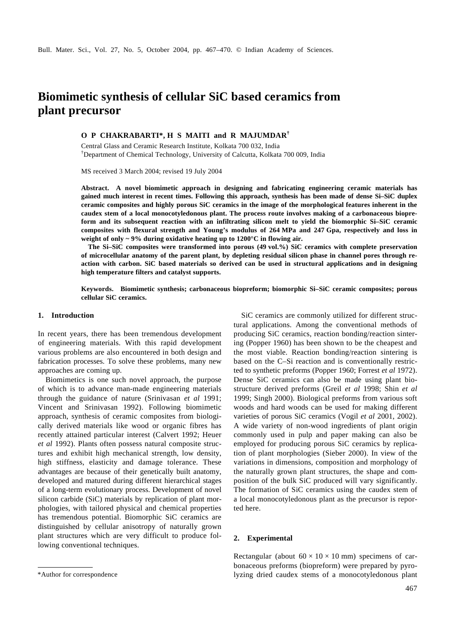# **Biomimetic synthesis of cellular SiC based ceramics from plant precursor**

# **O P CHAKRABARTI\*, H S MAITI and R MAJUMDAR†**

Central Glass and Ceramic Research Institute, Kolkata 700 032, India †Department of Chemical Technology, University of Calcutta, Kolkata 700 009, India

MS received 3 March 2004; revised 19 July 2004

**Abstract. A novel biomimetic approach in designing and fabricating engineering ceramic materials has gained much interest in recent times. Following this approach, synthesis has been made of dense Si–SiC duplex ceramic composites and highly porous SiC ceramics in the image of the morphological features inherent in the caudex stem of a local monocotyledonous plant. The process route involves making of a carbonaceous biopreform and its subsequent reaction with an infiltrating silicon melt to yield the biomorphic Si–SiC ceramic composites with flexural strength and Young's modulus of 264 MPa and 247 Gpa, respectively and loss in weight of only ~ 9% during oxidative heating up to 1200°C in flowing air.**

**The Si–SiC composites were transformed into porous (49 vol.%) SiC ceramics with complete preservation of microcellular anatomy of the parent plant, by depleting residual silicon phase in channel pores through reaction with carbon. SiC based materials so derived can be used in structural applications and in designing high temperature filters and catalyst supports.**

**Keywords. Biomimetic synthesis; carbonaceous biopreform; biomorphic Si–SiC ceramic composites; porous cellular SiC ceramics.**

## **1. Introduction**

In recent years, there has been tremendous development of engineering materials. With this rapid development various problems are also encountered in both design and fabrication processes. To solve these problems, many new approaches are coming up.

Biomimetics is one such novel approach, the purpose of which is to advance man-made engineering materials through the guidance of nature (Srinivasan *et al* 1991; Vincent and Srinivasan 1992). Following biomimetic approach, synthesis of ceramic composites from biologically derived materials like wood or organic fibres has recently attained particular interest (Calvert 1992; Heuer *et al* 1992). Plants often possess natural composite structures and exhibit high mechanical strength, low density, high stiffness, elasticity and damage tolerance. These advantages are because of their genetically built anatomy, developed and matured during different hierarchical stages of a long-term evolutionary process. Development of novel silicon carbide (SiC) materials by replication of plant morphologies, with tailored physical and chemical properties has tremendous potential. Biomorphic SiC ceramics are distinguished by cellular anisotropy of naturally grown plant structures which are very difficult to produce following conventional techniques.

SiC ceramics are commonly utilized for different structural applications. Among the conventional methods of producing SiC ceramics, reaction bonding/reaction sintering (Popper 1960) has been shown to be the cheapest and the most viable. Reaction bonding/reaction sintering is based on the C–Si reaction and is conventionally restricted to synthetic preforms (Popper 1960; Forrest *et al* 1972). Dense SiC ceramics can also be made using plant biostructure derived preforms (Greil *et al* 1998; Shin *et al* 1999; Singh 2000). Biological preforms from various soft woods and hard woods can be used for making different varieties of porous SiC ceramics (Vogil *et al* 2001, 2002). A wide variety of non-wood ingredients of plant origin commonly used in pulp and paper making can also be employed for producing porous SiC ceramics by replication of plant morphologies (Sieber 2000). In view of the variations in dimensions, composition and morphology of the naturally grown plant structures, the shape and composition of the bulk SiC produced will vary significantly. The formation of SiC ceramics using the caudex stem of a local monocotyledonous plant as the precursor is reported here.

## **2. Experimental**

Rectangular (about  $60 \times 10 \times 10$  mm) specimens of carbonaceous preforms (biopreform) were prepared by pyro- \*Author for correspondence lyzing dried caudex stems of a monocotyledonous plant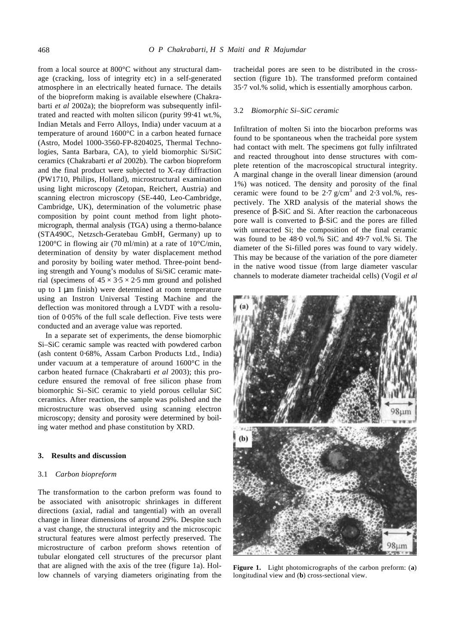from a local source at 800°C without any structural damage (cracking, loss of integrity etc) in a self-generated atmosphere in an electrically heated furnace. The details of the biopreform making is available elsewhere (Chakrabarti *et al* 2002a); the biopreform was subsequently infiltrated and reacted with molten silicon (purity 99⋅41 wt.%, Indian Metals and Ferro Alloys, India) under vacuum at a temperature of around 1600°C in a carbon heated furnace (Astro, Model 1000-3560-FP-8204025, Thermal Technologies, Santa Barbara, CA), to yield biomorphic Si/SiC ceramics (Chakrabarti *et al* 2002b). The carbon biopreform and the final product were subjected to X-ray diffraction (PW1710, Philips, Holland), microstructural examination using light microscopy (Zetopan, Reichert, Austria) and scanning electron microscopy (SE-440, Leo-Cambridge, Cambridge, UK), determination of the volumetric phase composition by point count method from light photomicrograph, thermal analysis (TGA) using a thermo-balance (STA490C, Netzsch-Geratebau GmbH, Germany) up to 1200°C in flowing air (70 ml/min) at a rate of 10°C/min, determination of density by water displacement method and porosity by boiling water method. Three-point bending strength and Young's modulus of Si/SiC ceramic material (specimens of  $45 \times 3.5 \times 2.5$  mm ground and polished up to 1 μm finish) were determined at room temperature using an Instron Universal Testing Machine and the deflection was monitored through a LVDT with a resolution of 0⋅05% of the full scale deflection. Five tests were conducted and an average value was reported.

In a separate set of experiments, the dense biomorphic Si–SiC ceramic sample was reacted with powdered carbon (ash content 0⋅68%, Assam Carbon Products Ltd., India) under vacuum at a temperature of around 1600°C in the carbon heated furnace (Chakrabarti *et al* 2003); this procedure ensured the removal of free silicon phase from biomorphic Si–SiC ceramic to yield porous cellular SiC ceramics. After reaction, the sample was polished and the microstructure was observed using scanning electron microscopy; density and porosity were determined by boiling water method and phase constitution by XRD.

## **3. Results and discussion**

## 3.1 *Carbon biopreform*

The transformation to the carbon preform was found to be associated with anisotropic shrinkages in different directions (axial, radial and tangential) with an overall change in linear dimensions of around 29%. Despite such a vast change, the structural integrity and the microscopic structural features were almost perfectly preserved. The microstructure of carbon preform shows retention of tubular elongated cell structures of the precursor plant that are aligned with the axis of the tree (figure 1a). Hollow channels of varying diameters originating from the

tracheidal pores are seen to be distributed in the crosssection (figure 1b). The transformed preform contained 35⋅7 vol.% solid, which is essentially amorphous carbon.

#### 3.2 *Biomorphic Si–SiC ceramic*

Infiltration of molten Si into the biocarbon preforms was found to be spontaneous when the tracheidal pore system had contact with melt. The specimens got fully infiltrated and reacted throughout into dense structures with complete retention of the macroscopical structural integrity. A marginal change in the overall linear dimension (around 1%) was noticed. The density and porosity of the final ceramic were found to be  $2.7 \text{ g/cm}^3$  and  $2.3 \text{ vol.}\%$ , respectively. The XRD analysis of the material shows the presence of *b*-SiC and Si. After reaction the carbonaceous pore wall is converted to *b*-SiC and the pores are filled with unreacted Si; the composition of the final ceramic was found to be 48⋅0 vol.% SiC and 49⋅7 vol.% Si. The diameter of the Si-filled pores was found to vary widely. This may be because of the variation of the pore diameter in the native wood tissue (from large diameter vascular channels to moderate diameter tracheidal cells) (Vogil *et al*



**Figure 1.** Light photomicrographs of the carbon preform: (**a**) longitudinal view and (**b**) cross-sectional view.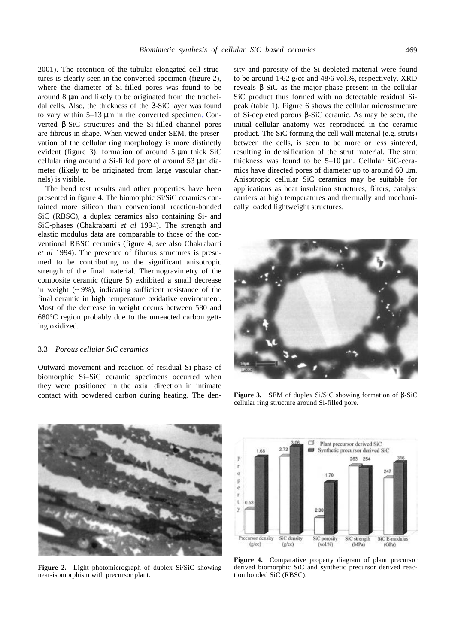2001). The retention of the tubular elongated cell structures is clearly seen in the converted specimen (figure 2), where the diameter of Si-filled pores was found to be around 8 μm and likely to be originated from the tracheidal cells. Also, the thickness of the *b*-SiC layer was found to vary within 5–13 μm in the converted specimen. Converted *b*-SiC structures and the Si-filled channel pores are fibrous in shape. When viewed under SEM, the preservation of the cellular ring morphology is more distinctly evident (figure 3); formation of around 5 μm thick SiC cellular ring around a Si-filled pore of around 53 μm diameter (likely to be originated from large vascular channels) is visible.

The bend test results and other properties have been presented in figure 4. The biomorphic Si/SiC ceramics contained more silicon than conventional reaction-bonded SiC (RBSC), a duplex ceramics also containing Si- and SiC-phases (Chakrabarti *et al* 1994). The strength and elastic modulus data are comparable to those of the conventional RBSC ceramics (figure 4, see also Chakrabarti *et al* 1994). The presence of fibrous structures is presumed to be contributing to the significant anisotropic strength of the final material. Thermogravimetry of the composite ceramic (figure 5) exhibited a small decrease in weight  $($   $\sim$  9%), indicating sufficient resistance of the final ceramic in high temperature oxidative environment. Most of the decrease in weight occurs between 580 and 680°C region probably due to the unreacted carbon getting oxidized.

## 3.3 *Porous cellular SiC ceramics*

Outward movement and reaction of residual Si-phase of biomorphic Si–SiC ceramic specimens occurred when they were positioned in the axial direction in intimate contact with powdered carbon during heating. The density and porosity of the Si-depleted material were found to be around 1⋅62 g/cc and 48⋅6 vol.%, respectively. XRD reveals *b*-SiC as the major phase present in the cellular SiC product thus formed with no detectable residual Sipeak (table 1). Figure 6 shows the cellular microstructure of Si-depleted porous *b*-SiC ceramic. As may be seen, the initial cellular anatomy was reproduced in the ceramic product. The SiC forming the cell wall material (e.g. struts) between the cells, is seen to be more or less sintered, resulting in densification of the strut material. The strut thickness was found to be 5–10 μm. Cellular SiC-ceramics have directed pores of diameter up to around 60 μm. Anisotropic cellular SiC ceramics may be suitable for applications as heat insulation structures, filters, catalyst carriers at high temperatures and thermally and mechanically loaded lightweight structures.



**Figure 3.** SEM of duplex Si/SiC showing formation of *b*-SiC cellular ring structure around Si-filled pore.



**Figure 2.** Light photomicrograph of duplex Si/SiC showing near-isomorphism with precursor plant.



**Figure 4.** Comparative property diagram of plant precursor derived biomorphic SiC and synthetic precursor derived reaction bonded SiC (RBSC).